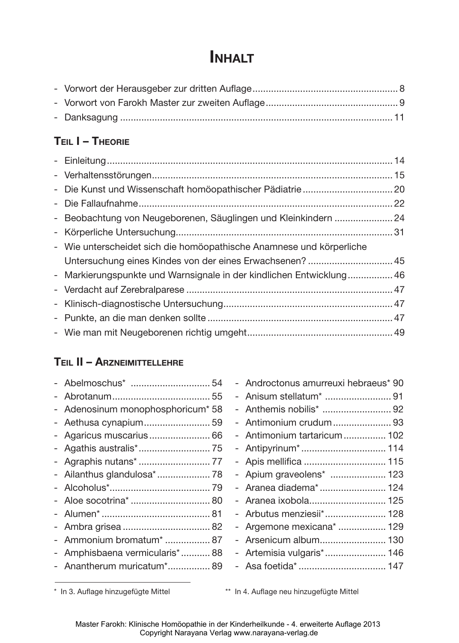# **INHALT**

# **Teil I – Theorie**

| - Die Kunst und Wissenschaft homöopathischer Pädiatrie 20            |  |
|----------------------------------------------------------------------|--|
|                                                                      |  |
| - Beobachtung von Neugeborenen, Säuglingen und Kleinkindern  24      |  |
|                                                                      |  |
| - Wie unterscheidet sich die homöopathische Anamnese und körperliche |  |
|                                                                      |  |
| - Markierungspunkte und Warnsignale in der kindlichen Entwicklung 46 |  |
|                                                                      |  |
|                                                                      |  |
|                                                                      |  |
|                                                                      |  |
|                                                                      |  |

# **Teil II – Arzneimittellehre**

|                                   | - Androctonus amurreuxi hebraeus* 90 |  |
|-----------------------------------|--------------------------------------|--|
|                                   |                                      |  |
| - Adenosinum monophosphoricum* 58 | - Anthemis nobilis*  92              |  |
| - Aethusa cynapium 59             | - Antimonium crudum 93               |  |
| - Agaricus muscarius 66           | - Antimonium tartaricum 102          |  |
|                                   | - Antipyrinum*  114                  |  |
|                                   | - Apis mellifica  115                |  |
| - Ailanthus glandulosa* 78        | - Apium graveolens*  123             |  |
|                                   | - Aranea diadema*  124               |  |
| - Aloe socotrina*  80             | - Aranea ixobola 125                 |  |
|                                   | - Arbutus menziesii* 128             |  |
|                                   | - Argemone mexicana*  129            |  |
| - Ammonium bromatum*  87          | - Arsenicum album 130                |  |
| - Amphisbaena vermicularis* 88    | - Artemisia vulgaris* 146            |  |
| - Anantherum muricatum* 89        | - Asa foetida*  147                  |  |
|                                   |                                      |  |

\* In 3. Auflage hinzugefügte Mittel \*\* In 4. Auflage neu hinzugefügte Mittel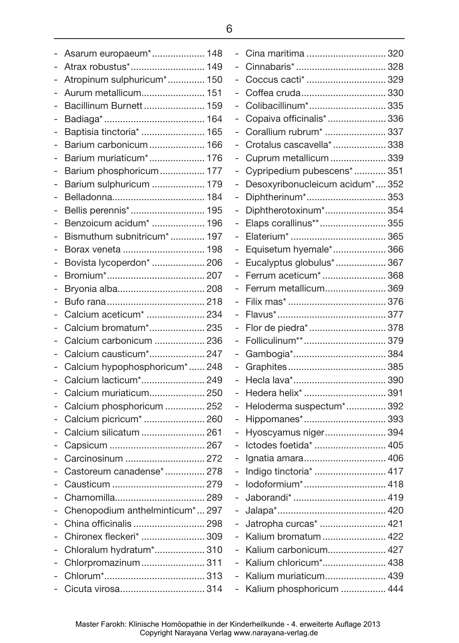| $\overline{a}$           | Asarum europaeum* 148             |  |
|--------------------------|-----------------------------------|--|
|                          | Atrax robustus* 149               |  |
| $\overline{a}$           | Atropinum sulphuricum* 150        |  |
| $\overline{a}$           | Aurum metallicum 151              |  |
| $\overline{a}$           | Bacillinum Burnett  159           |  |
| -                        |                                   |  |
| -                        | Baptisia tinctoria*  165          |  |
| $\overline{a}$           | Barium carbonicum  166            |  |
| $\overline{a}$           | Barium muriaticum* 176            |  |
| $\overline{a}$           | Barium phosphoricum 177           |  |
| $\overline{a}$           | Barium sulphuricum  179           |  |
| $\overline{a}$           |                                   |  |
| $\overline{a}$           | Bellis perennis* 195              |  |
| -                        | Benzoicum acidum*  196            |  |
| $\overline{a}$           | Bismuthum subnitricum* 197        |  |
| $\overline{a}$           | Borax veneta  198                 |  |
| $\overline{a}$           | Bovista lycoperdon*  206          |  |
| $\overline{a}$           |                                   |  |
| $\overline{a}$           | Bryonia alba 208                  |  |
| -                        |                                   |  |
| -                        | Calcium aceticum <sup>*</sup> 234 |  |
| $\overline{a}$           | Calcium bromatum* 235             |  |
|                          | Calcium carbonicum  236           |  |
| -                        | Calcium causticum* 247            |  |
| $\overline{\phantom{0}}$ | Calcium hypophosphoricum* 248     |  |
| $\overline{a}$           | Calcium lacticum* 249             |  |
| -                        | Calcium muriaticum 250            |  |
| -                        | Calcium phosphoricum  252         |  |
| -                        | Calcium picricum <sup>*</sup> 260 |  |
|                          | Calcium silicatum  261            |  |
| -                        |                                   |  |
|                          | Carcinosinum  272                 |  |
|                          | Castoreum canadense* 278          |  |
|                          |                                   |  |
|                          |                                   |  |
| $\overline{\phantom{0}}$ | Chenopodium anthelminticum*297    |  |
|                          | China officinalis  298            |  |
|                          | Chironex fleckeri*  309           |  |
|                          | Chloralum hydratum* 310           |  |
|                          | Chlorpromazinum 311               |  |
| $\overline{a}$           |                                   |  |
| -                        | Cicuta virosa 314                 |  |

|   | Cina maritima  320               |  |
|---|----------------------------------|--|
|   |                                  |  |
|   | Coccus cacti*  329               |  |
| - | Coffea cruda 330                 |  |
|   | Colibacillinum* 335              |  |
| - | Copaiva officinalis*  336        |  |
| - | Corallium rubrum*  337           |  |
| - | Crotalus cascavella*  338        |  |
| - | Cuprum metallicum  339           |  |
|   | Cypripedium pubescens*  351      |  |
| - | Desoxyribonucleicum acidum* 352  |  |
|   | Diphtherinum* 353                |  |
| - | Diphtherotoxinum* 354            |  |
| - | Elaps corallinus** 355           |  |
| - |                                  |  |
| - | Equisetum hyemale* 366           |  |
|   | Eucalyptus globulus* 367         |  |
| - | Ferrum aceticum*  368            |  |
| - | Ferrum metallicum 369            |  |
| - |                                  |  |
| - |                                  |  |
| - | Flor de piedra*  378             |  |
| - |                                  |  |
|   |                                  |  |
| - |                                  |  |
| - |                                  |  |
| - | Hedera helix <sup>*</sup> 391    |  |
| - | Heloderma suspectum* 392         |  |
| - | Hippomanes* 393                  |  |
| - | Hyoscyamus niger 394             |  |
|   | Ictodes foetida*  405            |  |
| - | Ignatia amara 406                |  |
| ÷ | Indigo tinctoria*  417           |  |
|   | lodoformium* 418                 |  |
|   |                                  |  |
| - |                                  |  |
| - | Jatropha curcas <sup>*</sup> 421 |  |
|   | Kalium bromatum  422             |  |
| - | Kalium carbonicum 427            |  |
| - | Kalium chloricum* 438            |  |
|   | Kalium muriaticum 439            |  |
|   | Kalium phosphoricum  444         |  |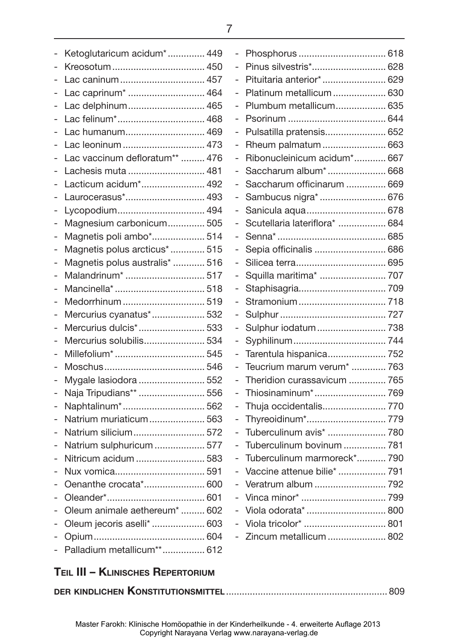|                          | Ketoglutaricum acidum* 449     |  |
|--------------------------|--------------------------------|--|
| -                        | Kreosotum 450                  |  |
|                          | Lac caninum 457                |  |
|                          | Lac caprinum <sup>*</sup> 464  |  |
| -                        | Lac delphinum 465              |  |
| -                        | Lac felinum* 468               |  |
|                          | Lac humanum 469                |  |
| $\overline{\phantom{0}}$ | Lac leoninum  473              |  |
| -                        | Lac vaccinum defloratum**  476 |  |
|                          | Lachesis muta  481             |  |
| -                        | Lacticum acidum* 492           |  |
| -                        | Laurocerasus* 493              |  |
| -                        | Lycopodium 494                 |  |
|                          | Magnesium carbonicum 505       |  |
| $\overline{\phantom{0}}$ | Magnetis poli ambo* 514        |  |
| -                        | Magnetis polus arcticus*  515  |  |
|                          | Magnetis polus australis*  516 |  |
| -                        | Malandrinum*  517              |  |
| -                        |                                |  |
|                          | Medorrhinum  519               |  |
|                          | Mercurius cyanatus* 532        |  |
| $\overline{a}$           | Mercurius dulcis* 533          |  |
| -                        | Mercurius solubilis 534        |  |
|                          |                                |  |
| -                        |                                |  |
| -                        | Mygale lasiodora  552          |  |
| $\overline{a}$           | Naja Tripudians**  556         |  |
|                          | Naphtalinum* 562               |  |
| $\overline{a}$           | Natrium muriaticum 563         |  |
| -                        | Natrium silicium 572           |  |
|                          | Natrium sulphuricum  577       |  |
|                          | Nitricum acidum  583           |  |
|                          | Nux vomica 591                 |  |
|                          | Oenanthe crocata* 600          |  |
|                          |                                |  |
|                          | Oleum animale aethereum*  602  |  |
|                          | Oleum jecoris aselli*  603     |  |
|                          |                                |  |
|                          | Palladium metallicum** 612     |  |
|                          |                                |  |

| - | Pinus silvestris* 628         |  |
|---|-------------------------------|--|
|   | Pituitaria anterior* 629      |  |
| - | Platinum metallicum  630      |  |
| - | Plumbum metallicum 635        |  |
| - |                               |  |
|   | Pulsatilla pratensis 652      |  |
| - | Rheum palmatum  663           |  |
| - | Ribonucleinicum acidum* 667   |  |
|   | Saccharum album* 668          |  |
|   | Saccharum officinarum  669    |  |
| - | Sambucus nigra*  676          |  |
| - | Sanicula aqua 678             |  |
|   | Scutellaria lateriflora*  684 |  |
| - |                               |  |
| - | Sepia officinalis  686        |  |
| - |                               |  |
| - | Squilla maritima*  707        |  |
| - |                               |  |
| - |                               |  |
|   |                               |  |
| - | Sulphur iodatum 738           |  |
| - |                               |  |
| - | Tarentula hispanica 752       |  |
| - | Teucrium marum verum*  763    |  |
| - | Theridion curassavicum  765   |  |
| - |                               |  |
|   | Thuja occidentalis 770        |  |
| - | Thyreoidinum* 779             |  |
| - | Tuberculinum avis*  780       |  |
|   | Tuberculinum bovinum  781     |  |
|   | Tuberculinum marmoreck* 790   |  |
|   | Vaccine attenue bilie*  791   |  |
|   | Veratrum album  792           |  |
|   |                               |  |
| - | Viola odorata*  800           |  |
| - |                               |  |
| - | Zincum metallicum  802        |  |
|   |                               |  |

# **Teil III – Klinisches Repertorium**

|--|--|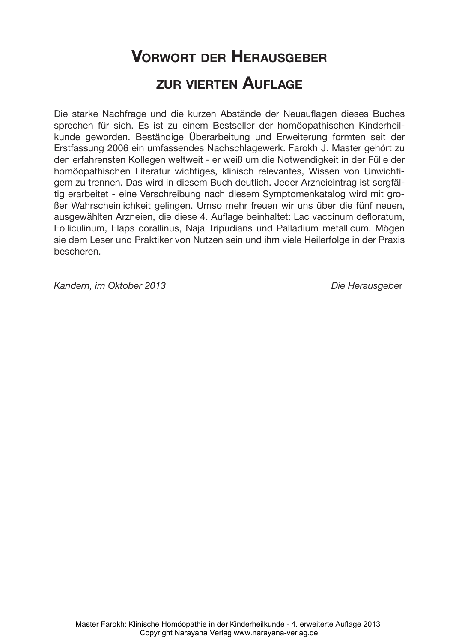# **Vorwort der Herausgeber zur vierten Auflage**

Die starke Nachfrage und die kurzen Abstände der Neuauflagen dieses Buches sprechen für sich. Es ist zu einem Bestseller der homöopathischen Kinderheilkunde geworden. Beständige Überarbeitung und Erweiterung formten seit der Erstfassung 2006 ein umfassendes Nachschlagewerk. Farokh J. Master gehört zu den erfahrensten Kollegen weltweit - er weiß um die Notwendigkeit in der Fülle der homöopathischen Literatur wichtiges, klinisch relevantes, Wissen von Unwichtigem zu trennen. Das wird in diesem Buch deutlich. Jeder Arzneieintrag ist sorgfältig erarbeitet - eine Verschreibung nach diesem Symptomenkatalog wird mit großer Wahrscheinlichkeit gelingen. Umso mehr freuen wir uns über die fünf neuen, ausgewählten Arzneien, die diese 4. Auflage beinhaltet: Lac vaccinum defloratum, Folliculinum, Elaps corallinus, Naja Tripudians und Palladium metallicum. Mögen sie dem Leser und Praktiker von Nutzen sein und ihm viele Heilerfolge in der Praxis bescheren.

*Kandern, im Oktober 2013 Die Herausgebe*r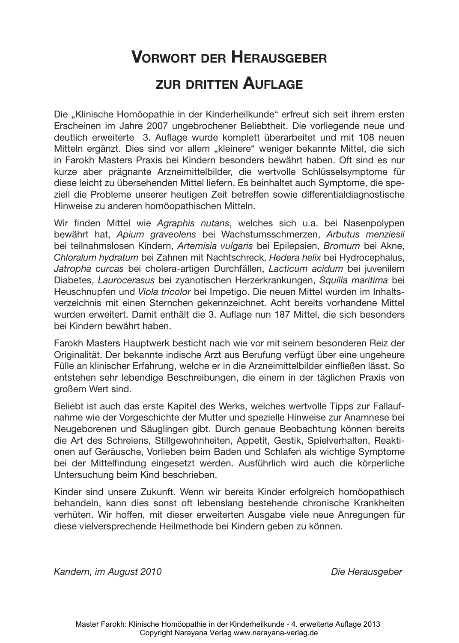# **Vorwort der Herausgeber zur dritten Auflage**

Die "Klinische Homöopathie in der Kinderheilkunde" erfreut sich seit ihrem ersten Erscheinen im Jahre 2007 ungebrochener Beliebtheit. Die vorliegende neue und deutlich erweiterte 3. Auflage wurde komplett überarbeitet und mit 108 neuen Mitteln ergänzt. Dies sind vor allem "kleinere" weniger bekannte Mittel, die sich in Farokh Masters Praxis bei Kindern besonders bewährt haben. Oft sind es nur kurze aber prägnante Arzneimittelbilder, die wertvolle Schlüsselsymptome für diese leicht zu übersehenden Mittel liefern. Es beinhaltet auch Symptome, die speziell die Probleme unserer heutigen Zeit betreffen sowie differentialdiagnostische Hinweise zu anderen homöopathischen Mitteln.

Wir finden Mittel wie *Agraphis nutans*, welches sich u.a. bei Nasenpolypen bewährt hat, *Apium graveolens* bei Wachstumsschmerzen, *Arbutus menziesii* bei teilnahmslosen Kindern, *Artemisia vulgaris* bei Epilepsien, *Bromum* bei Akne, *Chloralum hydratum* bei Zahnen mit Nachtschreck, *Hedera helix* bei Hydrocephalus, *Jatropha curcas* bei cholera-artigen Durchfällen, *Lacticum acidum* bei juvenilem Diabetes, *Laurocerasus* bei zyanotischen Herzerkrankungen, *Squilla maritima* bei Heuschnupfen und *Viola tricolor* bei Impetigo. Die neuen Mittel wurden im Inhaltsverzeichnis mit einen Sternchen gekennzeichnet. Acht bereits vorhandene Mittel wurden erweitert. Damit enthält die 3. Auflage nun 187 Mittel, die sich besonders bei Kindern bewährt haben.

Farokh Masters Hauptwerk besticht nach wie vor mit seinem besonderen Reiz der Originalität. Der bekannte indische Arzt aus Berufung verfügt über eine ungeheure Fülle an klinischer Erfahrung, welche er in die Arzneimittelbilder einfließen lässt. So entstehen sehr lebendige Beschreibungen, die einem in der täglichen Praxis von großem Wert sind.

Beliebt ist auch das erste Kapitel des Werks, welches wertvolle Tipps zur Fallaufnahme wie der Vorgeschichte der Mutter und spezielle Hinweise zur Anamnese bei Neugeborenen und Säuglingen gibt. Durch genaue Beobachtung können bereits die Art des Schreiens, Stillgewohnheiten, Appetit, Gestik, Spielverhalten, Reaktionen auf Geräusche, Vorlieben beim Baden und Schlafen als wichtige Symptome bei der Mittelfindung eingesetzt werden. Ausführlich wird auch die körperliche Untersuchung beim Kind beschrieben.

Kinder sind unsere Zukunft. Wenn wir bereits Kinder erfolgreich homöopathisch behandeln, kann dies sonst oft lebenslang bestehende chronische Krankheiten verhüten. Wir hoffen, mit dieser erweiterten Ausgabe viele neue Anregungen für diese vielversprechende Heilmethode bei Kindern geben zu können.

*Kandern, im August 2010 Die Herausgeber*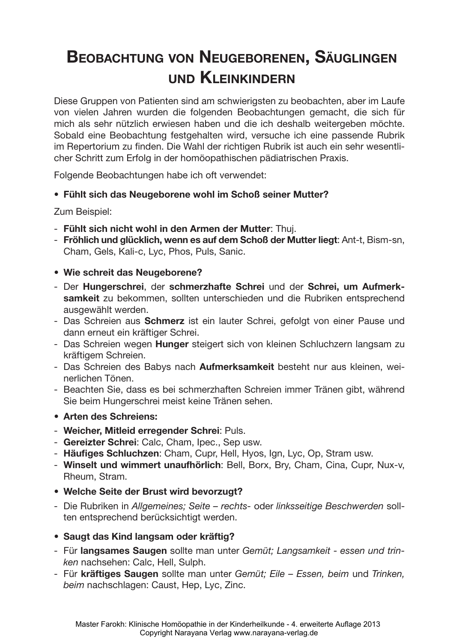# **Beobachtung von Neugeborenen, Säuglingen und Kleinkindern**

Diese Gruppen von Patienten sind am schwierigsten zu beobachten, aber im Laufe von vielen Jahren wurden die folgenden Beobachtungen gemacht, die sich für mich als sehr nützlich erwiesen haben und die ich deshalb weitergeben möchte. Sobald eine Beobachtung festgehalten wird, versuche ich eine passende Rubrik im Repertorium zu finden. Die Wahl der richtigen Rubrik ist auch ein sehr wesentlicher Schritt zum Erfolg in der homöopathischen pädiatrischen Praxis.

Folgende Beobachtungen habe ich oft verwendet:

#### **• Fühlt sich das Neugeborene wohl im Schoß seiner Mutter?**

Zum Beispiel:

- **Fühlt sich nicht wohl in den Armen der Mutter**: Thuj.
- **Fröhlich und glücklich, wenn es auf dem Schoß der Mutter liegt**: Ant-t, Bism-sn, Cham, Gels, Kali-c, Lyc, Phos, Puls, Sanic.
- **• Wie schreit das Neugeborene?**
- Der **Hungerschrei**, der **schmerzhafte Schrei** und der **Schrei, um Aufmerksamkeit** zu bekommen, sollten unterschieden und die Rubriken entsprechend ausgewählt werden.
- Das Schreien aus **Schmerz** ist ein lauter Schrei, gefolgt von einer Pause und dann erneut ein kräftiger Schrei.
- Das Schreien wegen **Hunger** steigert sich von kleinen Schluchzern langsam zu kräftigem Schreien.
- Das Schreien des Babys nach **Aufmerksamkeit** besteht nur aus kleinen, weinerlichen Tönen.
- Beachten Sie, dass es bei schmerzhaften Schreien immer Tränen gibt, während Sie beim Hungerschrei meist keine Tränen sehen.
- **• Arten des Schreiens:**
- **Weicher, Mitleid erregender Schrei**: Puls.
- **Gereizter Schrei**: Calc, Cham, Ipec., Sep usw.
- **Häufiges Schluchzen**: Cham, Cupr, Hell, Hyos, Ign, Lyc, Op, Stram usw.
- **Winselt und wimmert unaufhörlich**: Bell, Borx, Bry, Cham, Cina, Cupr, Nux-v, Rheum, Stram.
- **• Welche Seite der Brust wird bevorzugt?**
- Die Rubriken in *Allgemeines; Seite rechts-* oder *linksseitige Beschwerden* sollten entsprechend berücksichtigt werden.
- **• Saugt das Kind langsam oder kräftig?**
- Für **langsames Saugen** sollte man unter *Gemüt; Langsamkeit essen und trinken* nachsehen: Calc, Hell, Sulph.
- Für **kräftiges Saugen** sollte man unter *Gemüt; Eile Essen, beim* und *Trinken, beim* nachschlagen: Caust, Hep, Lyc, Zinc.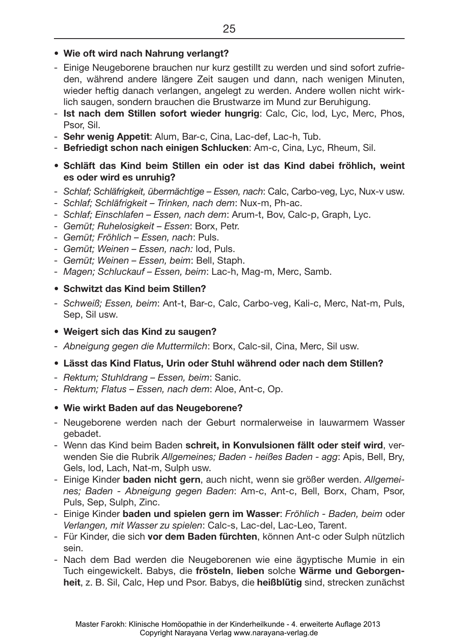- Einige Neugeborene brauchen nur kurz gestillt zu werden und sind sofort zufrieden, während andere längere Zeit saugen und dann, nach wenigen Minuten, wieder heftig danach verlangen, angelegt zu werden. Andere wollen nicht wirklich saugen, sondern brauchen die Brustwarze im Mund zur Beruhigung.
- **Ist nach dem Stillen sofort wieder hungrig**: Calc, Cic, lod, Lyc, Merc, Phos, Psor, Sil.
- **Sehr wenig Appetit**: Alum, Bar-c, Cina, Lac-def, Lac-h, Tub.
- **Befriedigt schon nach einigen Schlucken**: Am-c, Cina, Lyc, Rheum, Sil.
- **• Schläft das Kind beim Stillen ein oder ist das Kind dabei fröhlich, weint es oder wird es unruhig?**
- *Schlaf; Schläfrigkeit, übermächtige Essen, nach*: Calc, Carbo-veg, Lyc, Nux-v usw.
- *Schlaf; Schläfrigkeit Trinken, nach dem*: Nux-m, Ph-ac.
- *Schlaf; Einschlafen Essen, nach dem*: Arum-t, Bov, Calc-p, Graph, Lyc.
- *Gemüt; Ruhelosigkeit Essen*: Borx, Petr.
- *Gemüt; Fröhlich Essen, nach*: Puls.
- *Gemüt; Weinen Essen, nach:* lod, Puls.
- *Gemüt; Weinen Essen, beim*: Bell, Staph.
- *Magen; Schluckauf Essen, beim*: Lac-h, Mag-m, Merc, Samb.
- **• Schwitzt das Kind beim Stillen?**
- *Schweiß; Essen, beim*: Ant-t, Bar-c, Calc, Carbo-veg, Kali-c, Merc, Nat-m, Puls, Sep, Sil usw.
- **• Weigert sich das Kind zu saugen?**
- *Abneigung gegen die Muttermilch*: Borx, Calc-sil, Cina, Merc, Sil usw.
- **• Lässt das Kind Flatus, Urin oder Stuhl während oder nach dem Stillen?**
- *Rektum; Stuhldrang Essen, beim*: Sanic.
- *Rektum; Flatus Essen, nach dem*: Aloe, Ant-c, Op.
- **• Wie wirkt Baden auf das Neugeborene?**
- Neugeborene werden nach der Geburt normalerweise in lauwarmem Wasser gebadet.
- Wenn das Kind beim Baden **schreit, in Konvulsionen fällt oder steif wird**, verwenden Sie die Rubrik *Allgemeines; Baden - heißes Baden - agg*: Apis, Bell, Bry, Gels, lod, Lach, Nat-m, Sulph usw.
- Einige Kinder **baden nicht gern**, auch nicht, wenn sie größer werden. *Allgemeines; Baden - Abneigung gegen Baden*: Am-c, Ant-c, Bell, Borx, Cham, Psor, Puls, Sep, Sulph, Zinc.
- Einige Kinder **baden und spielen gern im Wasser**: *Fröhlich Baden, beim* oder *Verlangen, mit Wasser zu spielen*: Calc-s, Lac-del, Lac-Leo, Tarent.
- Für Kinder, die sich **vor dem Baden fürchten**, können Ant-c oder Sulph nützlich sein.
- Nach dem Bad werden die Neugeborenen wie eine ägyptische Mumie in ein Tuch eingewickelt. Babys, die **frösteln**, **lieben** solche **Wärme und Geborgenheit**, z. B. Sil, Calc, Hep und Psor. Babys, die **heißblütig** sind, strecken zunächst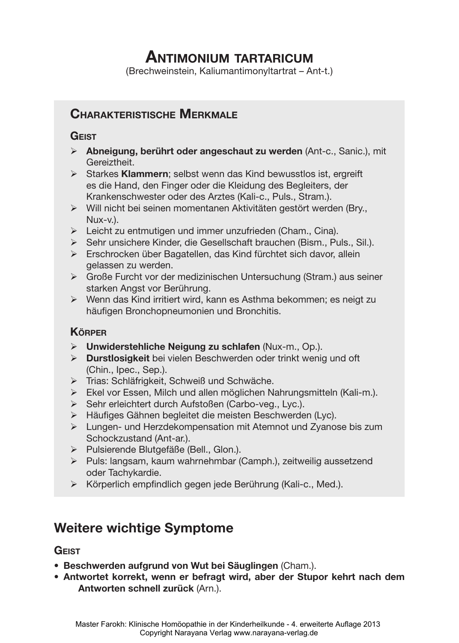# **Antimonium tartaricum**

(Brechweinstein, Kaliumantimonyltartrat – Ant-t.)

# **Charakteristische Merkmale**

#### **Geist**

- ¾ **Abneigung, berührt oder angeschaut zu werden** (Ant-c., Sanic.), mit Gereiztheit.
- ¾ Starkes **Klammern**; selbst wenn das Kind bewusstlos ist, ergreift es die Hand, den Finger oder die Kleidung des Begleiters, der Krankenschwester oder des Arztes (Kali-c., Puls., Stram.).
- ¾ Will nicht bei seinen momentanen Aktivitäten gestört werden (Bry., Nux-v.).
- $\triangleright$  Leicht zu entmutigen und immer unzufrieden (Cham., Cina).
- ¾ Sehr unsichere Kinder, die Gesellschaft brauchen (Bism., Puls., Sil.).
- ¾ Erschrocken über Bagatellen, das Kind fürchtet sich davor, allein gelassen zu werden.
- ¾ Große Furcht vor der medizinischen Untersuchung (Stram.) aus seiner starken Angst vor Berührung.
- ¾ Wenn das Kind irritiert wird, kann es Asthma bekommen; es neigt zu häufigen Bronchopneumonien und Bronchitis.

#### **Körper**

- ¾ **Unwiderstehliche Neigung zu schlafen** (Nux-m., Op.).
- ¾ **Durstlosigkeit** bei vielen Beschwerden oder trinkt wenig und oft (Chin., Ipec., Sep.).
- ¾ Trias: Schläfrigkeit, Schweiß und Schwäche.
- ¾ Ekel vor Essen, Milch und allen möglichen Nahrungsmitteln (Kali-m.).
- ¾ Sehr erleichtert durch Aufstoßen (Carbo-veg., Lyc.).
- ¾ Häufiges Gähnen begleitet die meisten Beschwerden (Lyc).
- ¾ Lungen- und Herzdekompensation mit Atemnot und Zyanose bis zum Schockzustand (Ant-ar.).
- ¾ Pulsierende Blutgefäße (Bell., Glon.).
- ¾ Puls: langsam, kaum wahrnehmbar (Camph.), zeitweilig aussetzend oder Tachykardie.
- ¾ Körperlich empfindlich gegen jede Berührung (Kali-c., Med.).

# **Weitere wichtige Symptome**

#### **Geist**

- • **Beschwerden aufgrund von Wut bei Säuglingen** (Cham.).
- • **Antwortet korrekt, wenn er befragt wird, aber der Stupor kehrt nach dem Antworten schnell zurück** (Arn.).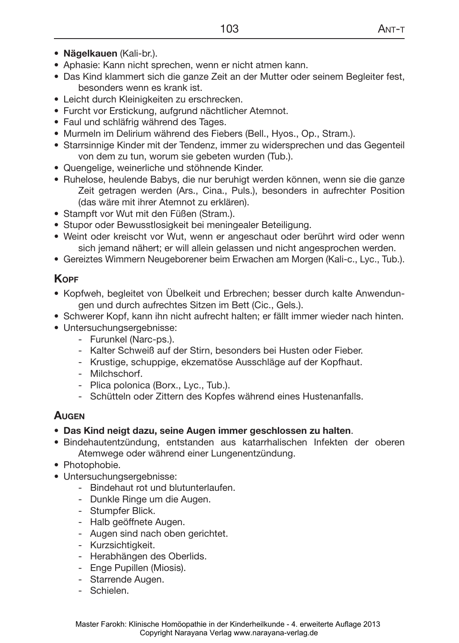- • **Nägelkauen** (Kali-br.).
- Aphasie: Kann nicht sprechen, wenn er nicht atmen kann.
- Das Kind klammert sich die ganze Zeit an der Mutter oder seinem Begleiter fest, besonders wenn es krank ist.
- Leicht durch Kleinigkeiten zu erschrecken.
- Furcht vor Erstickung, aufgrund nächtlicher Atemnot.
- Faul und schläfrig während des Tages.
- Murmeln im Delirium während des Fiebers (Bell., Hyos., Op., Stram.).
- Starrsinnige Kinder mit der Tendenz, immer zu widersprechen und das Gegenteil von dem zu tun, worum sie gebeten wurden (Tub.).
- • Quengelige, weinerliche und stöhnende Kinder.
- • Ruhelose, heulende Babys, die nur beruhigt werden können, wenn sie die ganze Zeit getragen werden (Ars., Cina., Puls.), besonders in aufrechter Position (das wäre mit ihrer Atemnot zu erklären).
- Stampft vor Wut mit den Füßen (Stram.).
- Stupor oder Bewusstlosigkeit bei meningealer Beteiligung.
- Weint oder kreischt vor Wut, wenn er angeschaut oder berührt wird oder wenn sich jemand nähert; er will allein gelassen und nicht angesprochen werden.
- Gereiztes Wimmern Neugeborener beim Erwachen am Morgen (Kali-c., Lyc., Tub.).

#### **Kopf**

- Kopfweh, begleitet von Übelkeit und Erbrechen; besser durch kalte Anwendungen und durch aufrechtes Sitzen im Bett (Cic., Gels.).
- • Schwerer Kopf, kann ihn nicht aufrecht halten; er fällt immer wieder nach hinten.
- Untersuchungsergebnisse:
	- Furunkel (Narc-ps.).
	- Kalter Schweiß auf der Stirn, besonders bei Husten oder Fieber.
	- Krustige, schuppige, ekzematöse Ausschläge auf der Kopfhaut.
	- Milchschorf.
	- Plica polonica (Borx., Lyc., Tub.).
	- Schütteln oder Zittern des Kopfes während eines Hustenanfalls.

## **Augen**

- • **Das Kind neigt dazu, seine Augen immer geschlossen zu halten**.
- • Bindehautentzündung, entstanden aus katarrhalischen Infekten der oberen Atemwege oder während einer Lungenentzündung.
- Photophobie.
- Untersuchungsergebnisse:
	- Bindehaut rot und blutunterlaufen.
	- Dunkle Ringe um die Augen.
	- Stumpfer Blick.
	- Halb geöffnete Augen.
	- Augen sind nach oben gerichtet.
	- Kurzsichtigkeit.
	- Herabhängen des Oberlids.
	- Enge Pupillen (Miosis).
	- Starrende Augen.
	- Schielen.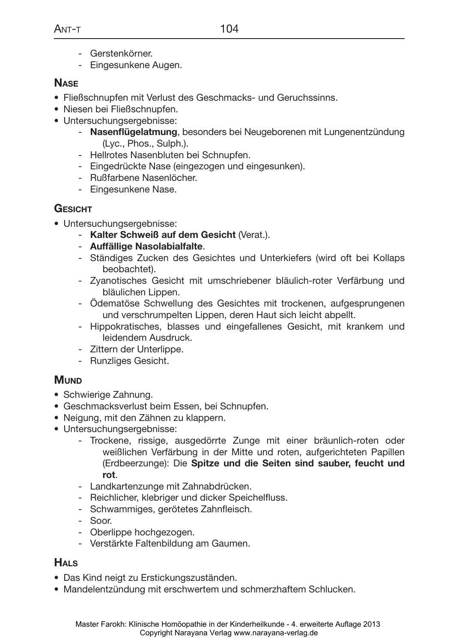- Gerstenkörner.
- Eingesunkene Augen.

#### **Nase**

- • Fließschnupfen mit Verlust des Geschmacks- und Geruchssinns.
- • Niesen bei Fließschnupfen.
- Untersuchungsergebnisse:
	- **Nasenflügelatmung**, besonders bei Neugeborenen mit Lungenentzündung (Lyc., Phos., Sulph.).
	- Hellrotes Nasenbluten bei Schnupfen.
	- Eingedrückte Nase (eingezogen und eingesunken).
	- Rußfarbene Nasenlöcher.
	- Eingesunkene Nase.

## **Gesicht**

- Untersuchungsergebnisse:
	- **Kalter Schweiß auf dem Gesicht** (Verat.).
	- **Auffällige Nasolabialfalte**.
	- Ständiges Zucken des Gesichtes und Unterkiefers (wird oft bei Kollaps beobachtet).
	- Zyanotisches Gesicht mit umschriebener bläulich-roter Verfärbung und bläulichen Lippen.
	- Ödematöse Schwellung des Gesichtes mit trockenen, aufgesprungenen und verschrumpelten Lippen, deren Haut sich leicht abpellt.
	- Hippokratisches, blasses und eingefallenes Gesicht, mit krankem und leidendem Ausdruck.
	- Zittern der Unterlippe.
	- Runzliges Gesicht.

# **MUND**

- Schwierige Zahnung.
- Geschmacksverlust beim Essen, bei Schnupfen.
- • Neigung, mit den Zähnen zu klappern.
- Untersuchungsergebnisse:
	- Trockene, rissige, ausgedörrte Zunge mit einer bräunlich-roten oder weißlichen Verfärbung in der Mitte und roten, aufgerichteten Papillen (Erdbeerzunge): Die **Spitze und die Seiten sind sauber, feucht und rot**.
	- Landkartenzunge mit Zahnabdrücken.
	- Reichlicher, klebriger und dicker Speichelfluss.
	- Schwammiges, gerötetes Zahnfleisch.
	- Soor.
	- Oberlippe hochgezogen.
	- Verstärkte Faltenbildung am Gaumen.

## **Hals**

- • Das Kind neigt zu Erstickungszuständen.
- • Mandelentzündung mit erschwertem und schmerzhaftem Schlucken.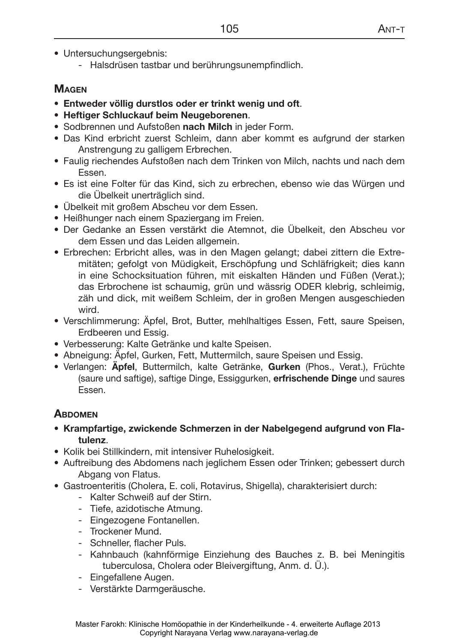- Untersuchungsergebnis:
	- Halsdrüsen tastbar und berührungsunempfindlich.

#### **Magen**

- • **Entweder völlig durstlos oder er trinkt wenig und oft**.
- • **Heftiger Schluckauf beim Neugeborenen**.
- • Sodbrennen und Aufstoßen **nach Milch** in jeder Form.
- • Das Kind erbricht zuerst Schleim, dann aber kommt es aufgrund der starken Anstrengung zu galligem Erbrechen.
- Faulig riechendes Aufstoßen nach dem Trinken von Milch, nachts und nach dem Essen.
- Es ist eine Folter für das Kind, sich zu erbrechen, ebenso wie das Würgen und die Übelkeit unerträglich sind.
- Übelkeit mit großem Abscheu vor dem Essen.
- Heißhunger nach einem Spaziergang im Freien.
- • Der Gedanke an Essen verstärkt die Atemnot, die Übelkeit, den Abscheu vor dem Essen und das Leiden allgemein.
- • Erbrechen: Erbricht alles, was in den Magen gelangt; dabei zittern die Extremitäten; gefolgt von Müdigkeit, Erschöpfung und Schläfrigkeit; dies kann in eine Schocksituation führen, mit eiskalten Händen und Füßen (Verat.); das Erbrochene ist schaumig, grün und wässrig ODER klebrig, schleimig, zäh und dick, mit weißem Schleim, der in großen Mengen ausgeschieden wird.
- • Verschlimmerung: Äpfel, Brot, Butter, mehlhaltiges Essen, Fett, saure Speisen, Erdbeeren und Essig.
- • Verbesserung: Kalte Getränke und kalte Speisen.
- Abneigung: Äpfel, Gurken, Fett, Muttermilch, saure Speisen und Essig.
- • Verlangen: **Äpfel**, Buttermilch, kalte Getränke, **Gurken** (Phos., Verat.), Früchte (saure und saftige), saftige Dinge, Essiggurken, **erfrischende Dinge** und saures Essen.

#### **Abdomen**

- **Krampfartige, zwickende Schmerzen in der Nabelgegend aufgrund von Flatulenz**.
- Kolik bei Stillkindern, mit intensiver Ruhelosigkeit.
- Auftreibung des Abdomens nach jeglichem Essen oder Trinken; gebessert durch Abgang von Flatus.
- • Gastroenteritis (Cholera, E. coli, Rotavirus, Shigella), charakterisiert durch:
	- Kalter Schweiß auf der Stirn.
	- Tiefe, azidotische Atmung.
	- Eingezogene Fontanellen.
	- Trockener Mund.
	- Schneller, flacher Puls.
	- Kahnbauch (kahnförmige Einziehung des Bauches z. B. bei Meningitis tuberculosa, Cholera oder Bleivergiftung, Anm. d. Ü.).
	- Eingefallene Augen.
	- Verstärkte Darmgeräusche.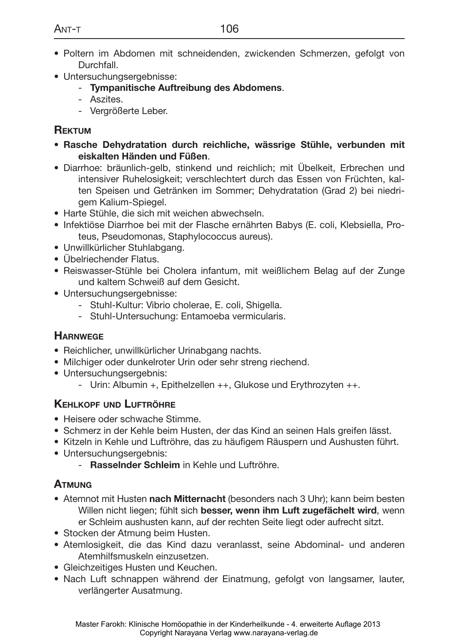- • Poltern im Abdomen mit schneidenden, zwickenden Schmerzen, gefolgt von Durchfall.
- Untersuchungsergebnisse:
	- **Tympanitische Auftreibung des Abdomens**.
	- Aszites.
	- Vergrößerte Leber.

## **Rektum**

- • **Rasche Dehydratation durch reichliche, wässrige Stühle, verbunden mit eiskalten Händen und Füßen**.
- • Diarrhoe: bräunlich-gelb, stinkend und reichlich; mit Übelkeit, Erbrechen und intensiver Ruhelosigkeit; verschlechtert durch das Essen von Früchten, kalten Speisen und Getränken im Sommer; Dehydratation (Grad 2) bei niedrigem Kalium-Spiegel.
- Harte Stühle, die sich mit weichen abwechseln.
- • Infektiöse Diarrhoe bei mit der Flasche ernährten Babys (E. coli, Klebsiella, Proteus, Pseudomonas, Staphylococcus aureus).
- • Unwillkürlicher Stuhlabgang.
- Übelriechender Flatus.
- • Reiswasser-Stühle bei Cholera infantum, mit weißlichem Belag auf der Zunge und kaltem Schweiß auf dem Gesicht.
- Untersuchungsergebnisse:
	- Stuhl-Kultur: Vibrio cholerae, E. coli, Shigella.
	- Stuhl-Untersuchung: Entamoeba vermicularis.

#### **Harnwege**

- Reichlicher, unwillkürlicher Urinabgang nachts.
- Milchiger oder dunkelroter Urin oder sehr streng riechend.
- Untersuchungsergebnis:
	- Urin: Albumin +, Epithelzellen ++, Glukose und Erythrozyten ++.

#### **Kehlkopf und Luftröhre**

- Heisere oder schwache Stimme.
- • Schmerz in der Kehle beim Husten, der das Kind an seinen Hals greifen lässt.
- • Kitzeln in Kehle und Luftröhre, das zu häufigem Räuspern und Aushusten führt.
- Untersuchungsergebnis:
	- **Rasselnder Schleim** in Kehle und Luftröhre.

#### **Atmung**

- • Atemnot mit Husten **nach Mitternacht** (besonders nach 3 Uhr); kann beim besten Willen nicht liegen; fühlt sich **besser, wenn ihm Luft zugefächelt wird**, wenn er Schleim aushusten kann, auf der rechten Seite liegt oder aufrecht sitzt.
- Stocken der Atmung beim Husten.
- • Atemlosigkeit, die das Kind dazu veranlasst, seine Abdominal- und anderen Atemhilfsmuskeln einzusetzen.
- Gleichzeitiges Husten und Keuchen.
- Nach Luft schnappen während der Einatmung, gefolgt von langsamer, lauter, verlängerter Ausatmung.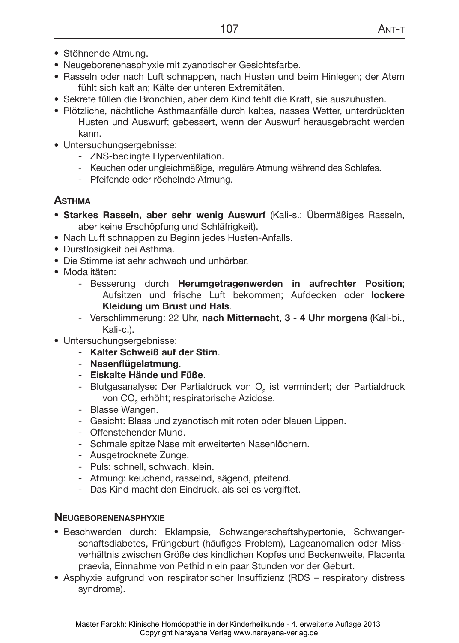- Stöhnende Atmung.
- Neugeborenenasphyxie mit zyanotischer Gesichtsfarbe.
- Rasseln oder nach Luft schnappen, nach Husten und beim Hinlegen; der Atem fühlt sich kalt an; Kälte der unteren Extremitäten.
- • Sekrete füllen die Bronchien, aber dem Kind fehlt die Kraft, sie auszuhusten.
- • Plötzliche, nächtliche Asthmaanfälle durch kaltes, nasses Wetter, unterdrückten Husten und Auswurf; gebessert, wenn der Auswurf herausgebracht werden kann.
- Untersuchungsergebnisse:
	- ZNS-bedingte Hyperventilation.
	- Keuchen oder ungleichmäßige, irreguläre Atmung während des Schlafes.
	- Pfeifende oder röchelnde Atmung.

## **Asthma**

- • **Starkes Rasseln, aber sehr wenig Auswurf** (Kali-s.: Übermäßiges Rasseln, aber keine Erschöpfung und Schläfrigkeit).
- Nach Luft schnappen zu Beginn jedes Husten-Anfalls.
- Durstlosigkeit bei Asthma.
- Die Stimme ist sehr schwach und unhörbar.
- Modalitäten:
	- Besserung durch **Herumgetragenwerden in aufrechter Position**; Aufsitzen und frische Luft bekommen; Aufdecken oder **lockere Kleidung um Brust und Hals**.
	- Verschlimmerung: 22 Uhr, **nach Mitternacht**, **3 4 Uhr morgens** (Kali-bi., Kali-c.).
- Untersuchungsergebnisse:
	- **Kalter Schweiß auf der Stirn**.
	- **Nasenflügelatmung**.
	- **Eiskalte Hände und Füße**.
	- Blutgasanalyse: Der Partialdruck von  $O_2$  ist vermindert; der Partialdruck von CO $_{\textrm{\tiny{2}}}$  erhöht; respiratorische Azidose.
	- Blasse Wangen.
	- Gesicht: Blass und zyanotisch mit roten oder blauen Lippen.
	- Offenstehender Mund.
	- Schmale spitze Nase mit erweiterten Nasenlöchern.
	- Ausgetrocknete Zunge.
	- Puls: schnell, schwach, klein.
	- Atmung: keuchend, rasselnd, sägend, pfeifend.
	- Das Kind macht den Eindruck, als sei es vergiftet.

#### **Neugeborenenasphyxie**

- • Beschwerden durch: Eklampsie, Schwangerschaftshypertonie, Schwangerschaftsdiabetes, Frühgeburt (häufiges Problem), Lageanomalien oder Missverhältnis zwischen Größe des kindlichen Kopfes und Beckenweite, Placenta praevia, Einnahme von Pethidin ein paar Stunden vor der Geburt.
- • Asphyxie aufgrund von respiratorischer Insuffizienz (RDS respiratory distress syndrome).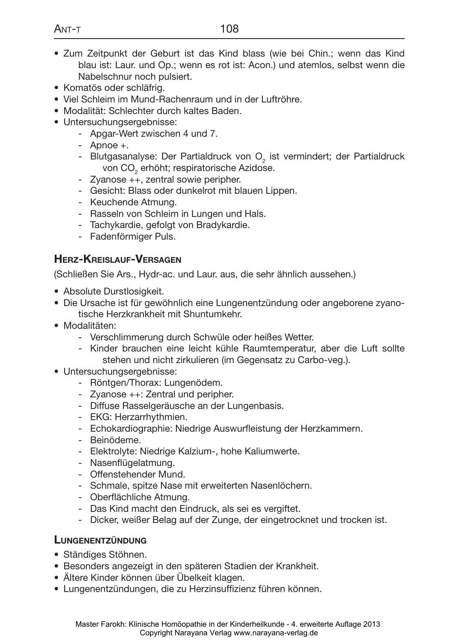- • Zum Zeitpunkt der Geburt ist das Kind blass (wie bei Chin.; wenn das Kind blau ist: Laur. und Op.; wenn es rot ist: Acon.) und atemlos, selbst wenn die Nabelschnur noch pulsiert.
- Komatös oder schläfrig.
- • Viel Schleim im Mund-Rachenraum und in der Luftröhre.
- Modalität: Schlechter durch kaltes Baden.
- Untersuchungsergebnisse:
	- Apgar-Wert zwischen 4 und 7.
	- Apnoe +.
	- Blutgasanalyse: Der Partialdruck von  $\overline{O}_2$  ist vermindert; der Partialdruck von CO $_{\textrm{\tiny{2}}}$  erhöht; respiratorische Azidose.
	- Zyanose ++, zentral sowie peripher.
	- Gesicht: Blass oder dunkelrot mit blauen Lippen.
	- Keuchende Atmung.
	- Rasseln von Schleim in Lungen und Hals.
	- Tachykardie, gefolgt von Bradykardie.
	- Fadenförmiger Puls.

#### **Herz-Kreislauf-Versagen**

(Schließen Sie Ars., Hydr-ac. und Laur. aus, die sehr ähnlich aussehen.)

- Absolute Durstlosigkeit.
- Die Ursache ist für gewöhnlich eine Lungenentzündung oder angeborene zyanotische Herzkrankheit mit Shuntumkehr.
- Modalitäten:
	- Verschlimmerung durch Schwüle oder heißes Wetter.
	- Kinder brauchen eine leicht kühle Raumtemperatur, aber die Luft sollte stehen und nicht zirkulieren (im Gegensatz zu Carbo-veg.).
- Untersuchungsergebnisse:
	- Röntgen/Thorax: Lungenödem.
	- Zyanose ++: Zentral und peripher.
	- Diffuse Rasselgeräusche an der Lungenbasis.
	- EKG: Herzarrhythmien.
	- Echokardiographie: Niedrige Auswurfleistung der Herzkammern.
	- Beinödeme.
	- Elektrolyte: Niedrige Kalzium-, hohe Kaliumwerte.
	- Nasenflügelatmung.
	- Offenstehender Mund.
	- Schmale, spitze Nase mit erweiterten Nasenlöchern.
	- Oberflächliche Atmung.
	- Das Kind macht den Eindruck, als sei es vergiftet.
	- Dicker, weißer Belag auf der Zunge, der eingetrocknet und trocken ist.

#### **Lungenentzündung**

- • Ständiges Stöhnen.
- • Besonders angezeigt in den späteren Stadien der Krankheit.
- • Ältere Kinder können über Übelkeit klagen.
- • Lungenentzündungen, die zu Herzinsuffizienz führen können.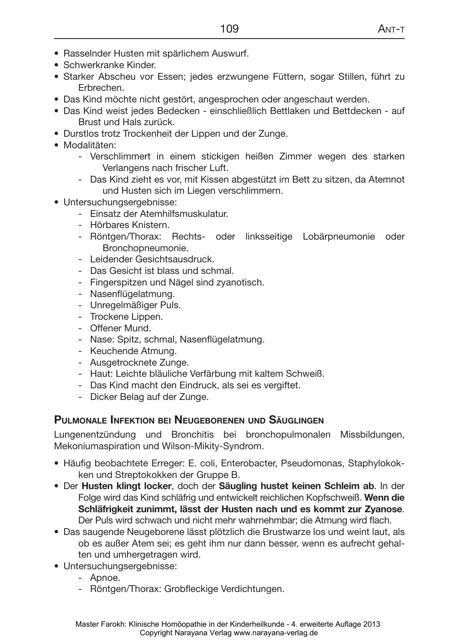- • Rasselnder Husten mit spärlichem Auswurf.
- Schwerkranke Kinder.
- Starker Abscheu vor Essen; jedes erzwungene Füttern, sogar Stillen, führt zu Erbrechen.
- Das Kind möchte nicht gestört, angesprochen oder angeschaut werden.
- • Das Kind weist jedes Bedecken einschließlich Bettlaken und Bettdecken auf Brust und Hals zurück.
- Durstlos trotz Trockenheit der Lippen und der Zunge.
- Modalitäten:
	- Verschlimmert in einem stickigen heißen Zimmer wegen des starken Verlangens nach frischer Luft.
	- Das Kind zieht es vor, mit Kissen abgestützt im Bett zu sitzen, da Atemnot und Husten sich im Liegen verschlimmern.
- Untersuchungsergebnisse:
	- Einsatz der Atemhilfsmuskulatur.
	- Hörbares Knistern.
	- Röntgen/Thorax: Rechts- oder linksseitige Lobärpneumonie oder Bronchopneumonie.
	- Leidender Gesichtsausdruck.
	- Das Gesicht ist blass und schmal.
	- Fingerspitzen und Nägel sind zyanotisch.
	- Nasenflügelatmung.
	- Unregelmäßiger Puls.
	- Trockene Lippen.
	- Offener Mund.
	- Nase: Spitz, schmal, Nasenflügelatmung.
	- Keuchende Atmung.
	- Ausgetrocknete Zunge.
	- Haut: Leichte bläuliche Verfärbung mit kaltem Schweiß.
	- Das Kind macht den Eindruck, als sei es vergiftet.
	- Dicker Belag auf der Zunge.

#### **Pulmonale Infektion bei Neugeborenen und Säuglingen**

Lungenentzündung und Bronchitis bei bronchopulmonalen Missbildungen, Mekoniumaspiration und Wilson-Mikity-Syndrom.

- • Häufig beobachtete Erreger: E. coli, Enterobacter, Pseudomonas, Staphylokokken und Streptokokken der Gruppe B.
- • Der **Husten klingt locker**, doch der **Säugling hustet keinen Schleim ab**. In der Folge wird das Kind schläfrig und entwickelt reichlichen Kopfschweiß. **Wenn die Schläfrigkeit zunimmt, lässt der Husten nach und es kommt zur Zyanose**. Der Puls wird schwach und nicht mehr wahrnehmbar; die Atmung wird flach.
- • Das saugende Neugeborene lässt plötzlich die Brustwarze los und weint laut, als ob es außer Atem sei; es geht ihm nur dann besser, wenn es aufrecht gehalten und umhergetragen wird.
- Untersuchungsergebnisse:
	- Apnoe.
	- Röntgen/Thorax: Grobfleckige Verdichtungen.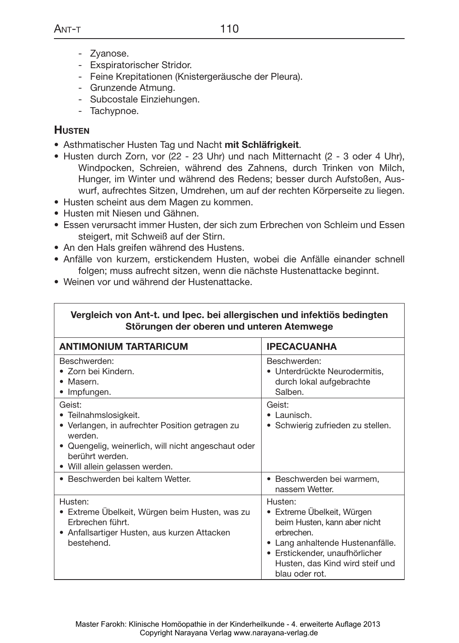- Zyanose.
- Exspiratorischer Stridor.
- Feine Krepitationen (Knistergeräusche der Pleura).
- Grunzende Atmung.
- Subcostale Einziehungen.
- Tachypnoe.

#### **Husten**

- • Asthmatischer Husten Tag und Nacht **mit Schläfrigkeit**.
- Husten durch Zorn, vor (22 23 Uhr) und nach Mitternacht (2 3 oder 4 Uhr), Windpocken, Schreien, während des Zahnens, durch Trinken von Milch, Hunger, im Winter und während des Redens; besser durch Aufstoßen, Auswurf, aufrechtes Sitzen, Umdrehen, um auf der rechten Körperseite zu liegen.
- Husten scheint aus dem Magen zu kommen.
- Husten mit Niesen und Gähnen.
- • Essen verursacht immer Husten, der sich zum Erbrechen von Schleim und Essen steigert, mit Schweiß auf der Stirn.
- An den Hals greifen während des Hustens.
- • Anfälle von kurzem, erstickendem Husten, wobei die Anfälle einander schnell folgen; muss aufrecht sitzen, wenn die nächste Hustenattacke beginnt.
- Weinen vor und während der Hustenattacke.

| Vergleich von Ant-t. und Ipec. bei allergischen und infektiös bedingten<br>Störungen der oberen und unteren Atemwege                                                                                      |                                                                                                                                                                                                                |  |
|-----------------------------------------------------------------------------------------------------------------------------------------------------------------------------------------------------------|----------------------------------------------------------------------------------------------------------------------------------------------------------------------------------------------------------------|--|
| <b>ANTIMONIUM TARTARICUM</b>                                                                                                                                                                              | <b>IPECACUANHA</b>                                                                                                                                                                                             |  |
| Beschwerden:<br>• Zorn bei Kindern.<br>• Masern.<br>• Impfungen.                                                                                                                                          | Beschwerden:<br>• Unterdrückte Neurodermitis,<br>durch lokal aufgebrachte<br>Salben.                                                                                                                           |  |
| Geist:<br>• Teilnahmslosigkeit.<br>• Verlangen, in aufrechter Position getragen zu<br>werden.<br>• Quengelig, weinerlich, will nicht angeschaut oder<br>berührt werden.<br>• Will allein gelassen werden. | Geist:<br>$\bullet$   aunisch.<br>• Schwierig zufrieden zu stellen.                                                                                                                                            |  |
| • Beschwerden bei kaltem Wetter.                                                                                                                                                                          | · Beschwerden bei warmem,<br>nassem Wetter.                                                                                                                                                                    |  |
| Husten:<br>• Extreme Übelkeit, Würgen beim Husten, was zu<br>Frbrechen führt.<br>• Anfallsartiger Husten, aus kurzen Attacken<br>bestehend.                                                               | Husten:<br>• Extreme Übelkeit, Würgen<br>beim Husten, kann aber nicht<br>erbrechen.<br>• Lang anhaltende Hustenanfälle.<br>• Erstickender, unaufhörlicher<br>Husten, das Kind wird steif und<br>blau oder rot. |  |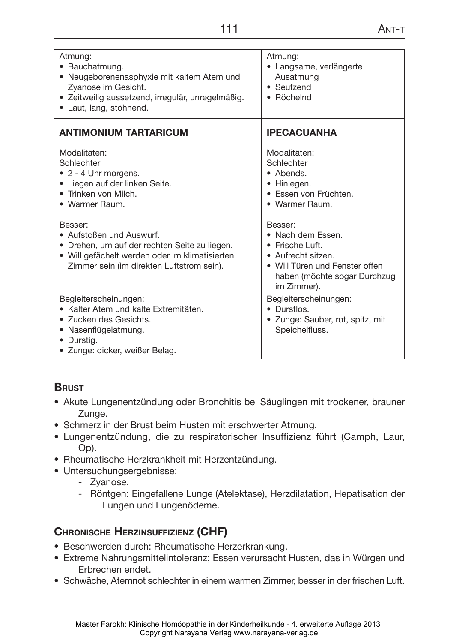| Atmung:<br>· Bauchatmung.<br>• Neugeborenenasphyxie mit kaltem Atem und<br>Zyanose im Gesicht.<br>• Zeitweilig aussetzend, irregulär, unregelmäßig.<br>• Laut, lang, stöhnend.                                                                                                                                                | Atmung:<br>· Langsame, verlängerte<br>Ausatmung<br>$\bullet$ Seufzend<br>• Röchelnd                                                                                                                                                                         |
|-------------------------------------------------------------------------------------------------------------------------------------------------------------------------------------------------------------------------------------------------------------------------------------------------------------------------------|-------------------------------------------------------------------------------------------------------------------------------------------------------------------------------------------------------------------------------------------------------------|
| <b>ANTIMONIUM TARTARICUM</b>                                                                                                                                                                                                                                                                                                  | <b>IPECACUANHA</b>                                                                                                                                                                                                                                          |
| Modalitäten:<br>Schlechter<br>$\bullet$ 2 - 4 Uhr morgens.<br>• Liegen auf der linken Seite.<br>• Trinken von Milch.<br>• Warmer Raum.<br>Besser:<br>• Aufstoßen und Auswurf.<br>• Drehen, um auf der rechten Seite zu liegen.<br>· Will gefächelt werden oder im klimatisierten<br>Zimmer sein (im direkten Luftstrom sein). | Modalitäten:<br>Schlechter<br>• Abends.<br>• Hinlegen.<br>• Essen von Früchten.<br>• Warmer Raum.<br>Besser:<br>• Nach dem Fssen.<br>• Frische Luft.<br>• Aufrecht sitzen.<br>• Will Türen und Fenster offen<br>haben (möchte sogar Durchzug<br>im Zimmer). |
| Begleiterscheinungen:<br>• Kalter Atem und kalte Extremitäten.<br>• Zucken des Gesichts.<br>Nasenflügelatmung.<br>Durstig.<br>· Zunge: dicker, weißer Belag.                                                                                                                                                                  | Begleiterscheinungen:<br>• Durstlos.<br>• Zunge: Sauber, rot, spitz, mit<br>Speichelfluss.                                                                                                                                                                  |

#### **Brust**

- • Akute Lungenentzündung oder Bronchitis bei Säuglingen mit trockener, brauner Zunge.
- Schmerz in der Brust beim Husten mit erschwerter Atmung.
- • Lungenentzündung, die zu respiratorischer Insuffizienz führt (Camph, Laur, Op).
- • Rheumatische Herzkrankheit mit Herzentzündung.
- Untersuchungsergebnisse:
	- Zyanose.
	- Röntgen: Eingefallene Lunge (Atelektase), Herzdilatation, Hepatisation der Lungen und Lungenödeme.

# **Chronische Herzinsuffizienz (CHF)**

- Beschwerden durch: Rheumatische Herzerkrankung.
- • Extreme Nahrungsmittelintoleranz; Essen verursacht Husten, das in Würgen und Erbrechen endet.
- Schwäche, Atemnot schlechter in einem warmen Zimmer, besser in der frischen Luft.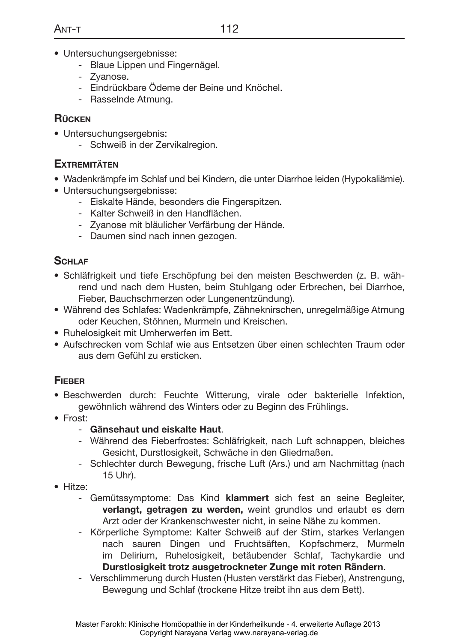- Untersuchungsergebnisse:
	- Blaue Lippen und Fingernägel.
	- Zyanose.
	- Eindrückbare Ödeme der Beine und Knöchel.
	- Rasselnde Atmung.

#### **Rücken**

- Untersuchungsergebnis:
	- Schweiß in der Zervikalregion.

#### **Extremitäten**

- • Wadenkrämpfe im Schlaf und bei Kindern, die unter Diarrhoe leiden (Hypokaliämie).
- Untersuchungsergebnisse:
	- Eiskalte Hände, besonders die Fingerspitzen.
	- Kalter Schweiß in den Handflächen.
	- Zyanose mit bläulicher Verfärbung der Hände.
	- Daumen sind nach innen gezogen.

## **Schlaf**

- • Schläfrigkeit und tiefe Erschöpfung bei den meisten Beschwerden (z. B. während und nach dem Husten, beim Stuhlgang oder Erbrechen, bei Diarrhoe, Fieber, Bauchschmerzen oder Lungenentzündung).
- • Während des Schlafes: Wadenkrämpfe, Zähneknirschen, unregelmäßige Atmung oder Keuchen, Stöhnen, Murmeln und Kreischen.
- Ruhelosigkeit mit Umherwerfen im Bett.
- • Aufschrecken vom Schlaf wie aus Entsetzen über einen schlechten Traum oder aus dem Gefühl zu ersticken.

#### **Fieber**

- • Beschwerden durch: Feuchte Witterung, virale oder bakterielle Infektion, gewöhnlich während des Winters oder zu Beginn des Frühlings.
- • Frost:
	- **Gänsehaut und eiskalte Haut**.
	- Während des Fieberfrostes: Schläfrigkeit, nach Luft schnappen, bleiches Gesicht, Durstlosigkeit, Schwäche in den Gliedmaßen.
	- Schlechter durch Bewegung, frische Luft (Ars.) und am Nachmittag (nach 15 Uhr).
- Hitze:
	- Gemütssymptome: Das Kind **klammert** sich fest an seine Begleiter, **verlangt, getragen zu werden,** weint grundlos und erlaubt es dem Arzt oder der Krankenschwester nicht, in seine Nähe zu kommen.
	- Körperliche Symptome: Kalter Schweiß auf der Stirn, starkes Verlangen nach sauren Dingen und Fruchtsäften, Kopfschmerz, Murmeln im Delirium, Ruhelosigkeit, betäubender Schlaf, Tachykardie und **Durstlosigkeit trotz ausgetrockneter Zunge mit roten Rändern**.
	- Verschlimmerung durch Husten (Husten verstärkt das Fieber), Anstrengung, Bewegung und Schlaf (trockene Hitze treibt ihn aus dem Bett).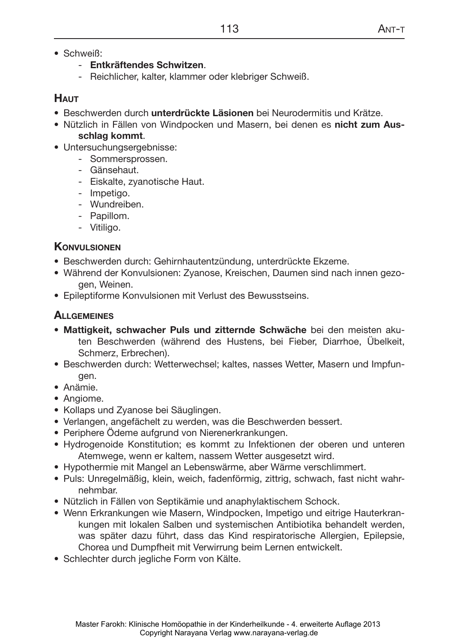- Schweiß:
	- **Entkräftendes Schwitzen**.
	- Reichlicher, kalter, klammer oder klebriger Schweiß.

## **Haut**

- • Beschwerden durch **unterdrückte Läsionen** bei Neurodermitis und Krätze.
- • Nützlich in Fällen von Windpocken und Masern, bei denen es **nicht zum Ausschlag kommt**.
- Untersuchungsergebnisse:
	- Sommersprossen.
	- Gänsehaut.
	- Eiskalte, zyanotische Haut.
	- Impetigo.
	- Wundreiben.
	- Papillom.
	- Vitiligo.

## **Konvulsionen**

- Beschwerden durch: Gehirnhautentzündung, unterdrückte Ekzeme.
- Während der Konvulsionen: Zyanose, Kreischen, Daumen sind nach innen gezogen, Weinen.
- • Epileptiforme Konvulsionen mit Verlust des Bewusstseins.

# **Allgemeines**

- • **Mattigkeit, schwacher Puls und zitternde Schwäche** bei den meisten akuten Beschwerden (während des Hustens, bei Fieber, Diarrhoe, Übelkeit, Schmerz, Erbrechen).
- Beschwerden durch: Wetterwechsel; kaltes, nasses Wetter, Masern und Impfungen.
- • Anämie.
- Angiome.
- Kollaps und Zyanose bei Säuglingen.
- • Verlangen, angefächelt zu werden, was die Beschwerden bessert.
- Periphere Ödeme aufgrund von Nierenerkrankungen.
- • Hydrogenoide Konstitution; es kommt zu Infektionen der oberen und unteren Atemwege, wenn er kaltem, nassem Wetter ausgesetzt wird.
- • Hypothermie mit Mangel an Lebenswärme, aber Wärme verschlimmert.
- • Puls: Unregelmäßig, klein, weich, fadenförmig, zittrig, schwach, fast nicht wahrnehmbar.
- Nützlich in Fällen von Septikämie und anaphylaktischem Schock.
- Wenn Erkrankungen wie Masern, Windpocken, Impetigo und eitrige Hauterkrankungen mit lokalen Salben und systemischen Antibiotika behandelt werden, was später dazu führt, dass das Kind respiratorische Allergien, Epilepsie, Chorea und Dumpfheit mit Verwirrung beim Lernen entwickelt.
- Schlechter durch jegliche Form von Kälte.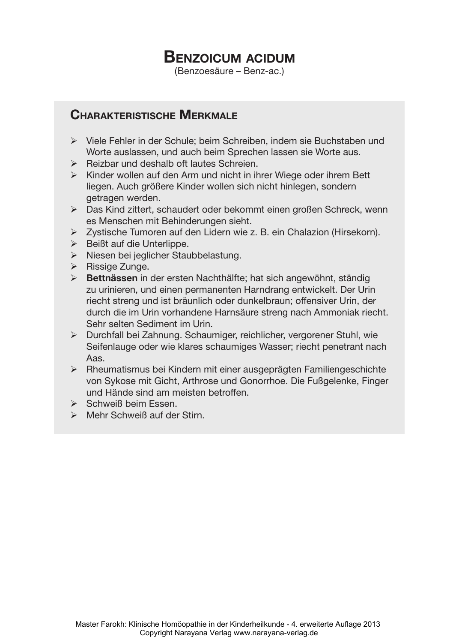# **Benzoicum acidum**

(Benzoesäure – Benz-ac.)

## **Charakteristische Merkmale**

- ¾ Viele Fehler in der Schule; beim Schreiben, indem sie Buchstaben und Worte auslassen, und auch beim Sprechen lassen sie Worte aus.
- $\triangleright$  Reizbar und deshalb oft lautes Schreien.
- $\triangleright$  Kinder wollen auf den Arm und nicht in ihrer Wiege oder ihrem Bett liegen. Auch größere Kinder wollen sich nicht hinlegen, sondern getragen werden.
- ¾ Das Kind zittert, schaudert oder bekommt einen großen Schreck, wenn es Menschen mit Behinderungen sieht.
- ¾ Zystische Tumoren auf den Lidern wie z. B. ein Chalazion (Hirsekorn).
- $\triangleright$  Beißt auf die Unterlippe.
- ¾ Niesen bei jeglicher Staubbelastung.
- $\triangleright$  Rissige Zunge.
- ¾ **Bettnässen** in der ersten Nachthälfte; hat sich angewöhnt, ständig zu urinieren, und einen permanenten Harndrang entwickelt. Der Urin riecht streng und ist bräunlich oder dunkelbraun; offensiver Urin, der durch die im Urin vorhandene Harnsäure streng nach Ammoniak riecht. Sehr selten Sediment im Urin.
- ¾ Durchfall bei Zahnung. Schaumiger, reichlicher, vergorener Stuhl, wie Seifenlauge oder wie klares schaumiges Wasser; riecht penetrant nach Aas.
- ¾ Rheumatismus bei Kindern mit einer ausgeprägten Familiengeschichte von Sykose mit Gicht, Arthrose und Gonorrhoe. Die Fußgelenke, Finger und Hände sind am meisten betroffen.
- $\triangleright$  Schweiß beim Essen.
- $\triangleright$  Mehr Schweiß auf der Stirn.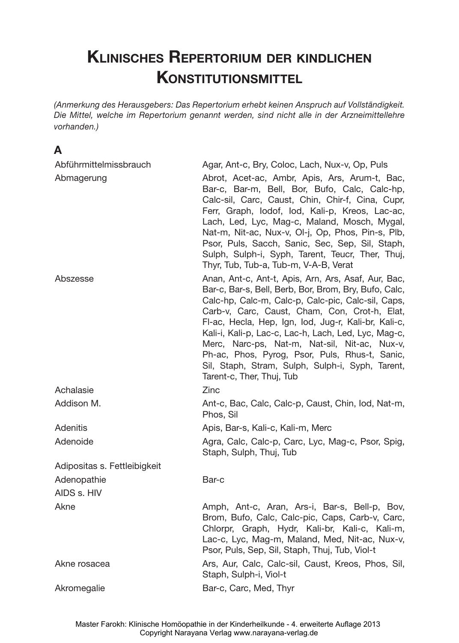# **Klinisches Repertorium der kindlichen KONSTITUTIONSMITTEL**

*(Anmerkung des Herausgebers: Das Repertorium erhebt keinen Anspruch auf Vollständigkeit. Die Mittel, welche im Repertorium genannt werden, sind nicht alle in der Arzneimittellehre vorhanden.)*

# **A**

| Abführmittelmissbrauch       | Agar, Ant-c, Bry, Coloc, Lach, Nux-v, Op, Puls                                                                                                                                                                                                                                                                                                                                                                                                                                                                          |
|------------------------------|-------------------------------------------------------------------------------------------------------------------------------------------------------------------------------------------------------------------------------------------------------------------------------------------------------------------------------------------------------------------------------------------------------------------------------------------------------------------------------------------------------------------------|
| Abmagerung                   | Abrot, Acet-ac, Ambr, Apis, Ars, Arum-t, Bac,<br>Bar-c, Bar-m, Bell, Bor, Bufo, Calc, Calc-hp,<br>Calc-sil, Carc, Caust, Chin, Chir-f, Cina, Cupr,<br>Ferr, Graph, lodof, lod, Kali-p, Kreos, Lac-ac,<br>Lach, Led, Lyc, Mag-c, Maland, Mosch, Mygal,<br>Nat-m, Nit-ac, Nux-v, Ol-j, Op, Phos, Pin-s, Plb,<br>Psor, Puls, Sacch, Sanic, Sec, Sep, Sil, Staph,<br>Sulph, Sulph-i, Syph, Tarent, Teucr, Ther, Thuj,<br>Thyr, Tub, Tub-a, Tub-m, V-A-B, Verat                                                              |
| Abszesse                     | Anan, Ant-c, Ant-t, Apis, Arn, Ars, Asaf, Aur, Bac,<br>Bar-c, Bar-s, Bell, Berb, Bor, Brom, Bry, Bufo, Calc,<br>Calc-hp, Calc-m, Calc-p, Calc-pic, Calc-sil, Caps,<br>Carb-v, Carc, Caust, Cham, Con, Crot-h, Elat,<br>FI-ac, Hecla, Hep, Ign, Iod, Jug-r, Kali-br, Kali-c,<br>Kali-i, Kali-p, Lac-c, Lac-h, Lach, Led, Lyc, Mag-c,<br>Merc, Narc-ps, Nat-m, Nat-sil, Nit-ac, Nux-v,<br>Ph-ac, Phos, Pyrog, Psor, Puls, Rhus-t, Sanic,<br>Sil, Staph, Stram, Sulph, Sulph-i, Syph, Tarent,<br>Tarent-c, Ther, Thuj, Tub |
| Achalasie                    | Zinc                                                                                                                                                                                                                                                                                                                                                                                                                                                                                                                    |
| Addison M.                   | Ant-c, Bac, Calc, Calc-p, Caust, Chin, Iod, Nat-m,<br>Phos, Sil                                                                                                                                                                                                                                                                                                                                                                                                                                                         |
| Adenitis                     | Apis, Bar-s, Kali-c, Kali-m, Merc                                                                                                                                                                                                                                                                                                                                                                                                                                                                                       |
| Adenoide                     | Agra, Calc, Calc-p, Carc, Lyc, Mag-c, Psor, Spig,<br>Staph, Sulph, Thuj, Tub                                                                                                                                                                                                                                                                                                                                                                                                                                            |
| Adipositas s. Fettleibigkeit |                                                                                                                                                                                                                                                                                                                                                                                                                                                                                                                         |
| Adenopathie                  | Bar-c                                                                                                                                                                                                                                                                                                                                                                                                                                                                                                                   |
| AIDS s. HIV                  |                                                                                                                                                                                                                                                                                                                                                                                                                                                                                                                         |
| Akne                         | Amph, Ant-c, Aran, Ars-i, Bar-s, Bell-p, Bov,<br>Brom, Bufo, Calc, Calc-pic, Caps, Carb-v, Carc,<br>Chlorpr, Graph, Hydr, Kali-br, Kali-c, Kali-m,<br>Lac-c, Lyc, Mag-m, Maland, Med, Nit-ac, Nux-v,<br>Psor, Puls, Sep, Sil, Staph, Thuj, Tub, Viol-t                                                                                                                                                                                                                                                                  |
| Akne rosacea                 | Ars, Aur, Calc, Calc-sil, Caust, Kreos, Phos, Sil,<br>Staph, Sulph-i, Viol-t                                                                                                                                                                                                                                                                                                                                                                                                                                            |
| Akromegalie                  | Bar-c, Carc, Med, Thyr                                                                                                                                                                                                                                                                                                                                                                                                                                                                                                  |